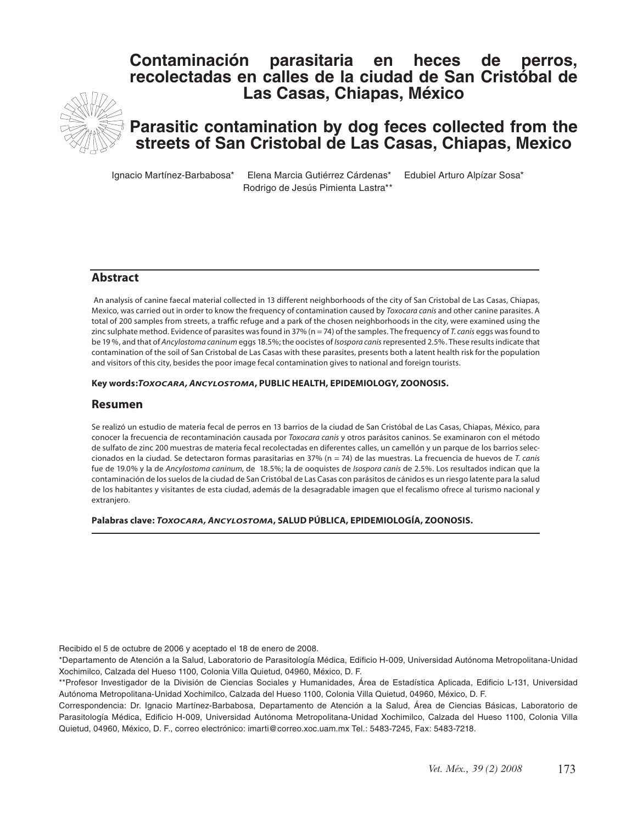# **Contaminación parasitaria en heces de perros, recolectadas en calles de la ciudad de San Cristóbal de Las Casas, Chiapas, México**



# **Parasitic contamination by dog feces collected from the streets of San Cristobal de Las Casas, Chiapas, Mexico**

Ignacio Martínez-Barbabosa\* Elena Marcia Gutiérrez Cárdenas\* Edubiel Arturo Alpízar Sosa\* Rodrigo de Jesús Pimienta Lastra\*\*

#### **Abstract**

 An analysis of canine faecal material collected in 13 different neighborhoods of the city of San Cristobal de Las Casas, Chiapas, Mexico, was carried out in order to know the frequency of contamination caused by *Toxocara canis* and other canine parasites. A total of 200 samples from streets, a traffic refuge and a park of the chosen neighborhoods in the city, were examined using the zinc sulphate method. Evidence of parasites was found in 37% (n = 74) of the samples. The frequency of *T. canis* eggs was found to be 19 %, and that of *Ancylostoma caninum* eggs 18.5%; the oocistes of *Isospora canis* represented 2.5%. These results indicate that contamination of the soil of San Cristobal de Las Casas with these parasites, presents both a latent health risk for the population and visitors of this city, besides the poor image fecal contamination gives to national and foreign tourists.

#### **Key words:***TOXOCARA, ANCYLOSTOMA***, PUBLIC HEALTH, EPIDEMIOLOGY, ZOONOSIS.**

#### **Resumen**

Se realizó un estudio de materia fecal de perros en 13 barrios de la ciudad de San Cristóbal de Las Casas, Chiapas, México, para conocer la frecuencia de recontaminación causada por *Toxocara canis* y otros parásitos caninos. Se examinaron con el método de sulfato de zinc 200 muestras de materia fecal recolectadas en diferentes calles, un camellón y un parque de los barrios seleccionados en la ciudad. Se detectaron formas parasitarias en 37% (n = 74) de las muestras. La frecuencia de huevos de *T. canis*  fue de 19.0% y la de *Ancylostoma caninum*, de 18.5%; la de ooquistes de *Isospora canis* de 2.5%. Los resultados indican que la contaminación de los suelos de la ciudad de San Cristóbal de Las Casas con parásitos de cánidos es un riesgo latente para la salud de los habitantes y visitantes de esta ciudad, además de la desagradable imagen que el fecalismo ofrece al turismo nacional y extranjero.

**Palabras clave:** *TOXOCARA, ANCYLOSTOMA***, SALUD PÚBLICA, EPIDEMIOLOGÍA, ZOONOSIS.**

Recibido el 5 de octubre de 2006 y aceptado el 18 de enero de 2008.

\*Departamento de Atención a la Salud, Laboratorio de Parasitología Médica, Edificio H-009, Universidad Autónoma Metropolitana-Unidad Xochimilco, Calzada del Hueso 1100, Colonia Villa Quietud, 04960, México, D. F.

<sup>\*\*</sup>Profesor Investigador de la División de Ciencias Sociales y Humanidades, Área de Estadística Aplicada, Edificio L-131, Universidad Autónoma Metropolitana-Unidad Xochimilco, Calzada del Hueso 1100, Colonia Villa Quietud, 04960, México, D. F.

Correspondencia: Dr. Ignacio Martínez-Barbabosa, Departamento de Atención a la Salud, Área de Ciencias Básicas, Laboratorio de Parasitología Médica, Edificio H-009, Universidad Autónoma Metropolitana-Unidad Xochimilco, Calzada del Hueso 1100, Colonia Villa Quietud, 04960, México, D. F., correo electrónico: imarti@correo.xoc.uam.mx Tel.: 5483-7245, Fax: 5483-7218.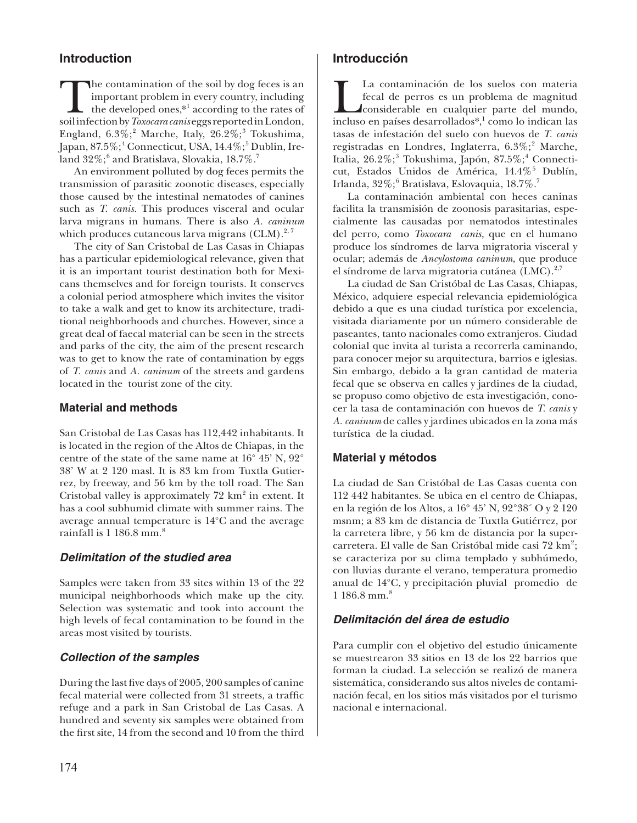## **Introduction**

The contamination of the soil by dog feces is an important problem in every country, including the developed ones,<sup>\*1</sup> according to the rates of soil infection by *Toxocara canis* eggs reported in London, important problem in every country, including the developed ones,\*<sup>1</sup> according to the rates of England,  $6.3\%;^2$  Marche, Italy,  $26.2\%;^3$  Tokushima, Japan, 87.5%;<sup>4</sup> Connecticut, USA, 14.4%;<sup>5</sup> Dublin, Ireland 32 $\%; ^{6}$  and Bratislava, Slovakia, 18.7 $\%$ . $^{7}$ 

An environment polluted by dog feces permits the transmission of parasitic zoonotic diseases, especially those caused by the intestinal nematodes of canines such as *T. canis.* This produces visceral and ocular larva migrans in humans. There is also *A. caninum*  which produces cutaneous larva migrans (CLM). $^{2,7}$ 

The city of San Cristobal de Las Casas in Chiapas has a particular epidemiological relevance, given that it is an important tourist destination both for Mexicans themselves and for foreign tourists. It conserves a colonial period atmosphere which invites the visitor to take a walk and get to know its architecture, traditional neighborhoods and churches. However, since a great deal of faecal material can be seen in the streets and parks of the city, the aim of the present research was to get to know the rate of contamination by eggs of *T. canis* and *A. caninum* of the streets and gardens located in the tourist zone of the city.

#### **Material and methods**

San Cristobal de Las Casas has 112,442 inhabitants. It is located in the region of the Altos de Chiapas, in the centre of the state of the same name at 16° 45' N, 92° 38' W at 2 120 masl. It is 83 km from Tuxtla Gutierrez, by freeway, and 56 km by the toll road. The San Cristobal valley is approximately  $72 \text{ km}^2$  in extent. It has a cool subhumid climate with summer rains. The average annual temperature is 14°C and the average rainfall is  $1\,186.8\,\mathrm{mm.}^8$ 

## *Delimitation of the studied area*

Samples were taken from 33 sites within 13 of the 22 municipal neighborhoods which make up the city. Selection was systematic and took into account the high levels of fecal contamination to be found in the areas most visited by tourists.

#### *Collection of the samples*

During the last five days of 2005, 200 samples of canine fecal material were collected from 31 streets, a traffic refuge and a park in San Cristobal de Las Casas. A hundred and seventy six samples were obtained from the first site, 14 from the second and 10 from the third

## **Introducción**

La contaminación de los suelos con materia fecal de perros es un problema de magnitud considerable en cualquier parte del mundo, incluso en países desarrollados\*,<sup>1</sup> como lo indican las fecal de perros es un problema de magnitud considerable en cualquier parte del mundo, tasas de infestación del suelo con huevos de *T. canis*  registradas en Londres, Inglaterra, 6.3%;<sup>2</sup> Marche, Italia, 26.2%;<sup>3</sup> Tokushima, Japón, 87.5%;<sup>4</sup> Connecticut, Estados Unidos de América, 14.4%<sup>5</sup> Dublín, Irlanda, 32%; $^6$  Bratislava, Eslovaquia, 18.7%. $^7$ 

La contaminación ambiental con heces caninas facilita la transmisión de zoonosis parasitarias, especialmente las causadas por nematodos intestinales del perro, como *Toxocara canis*, que en el humano produce los síndromes de larva migratoria visceral y ocular; además de *Ancylostoma caninum*, que produce el síndrome de larva migratoria cutánea  $(LMC)^{2,7}$ 

La ciudad de San Cristóbal de Las Casas, Chiapas, México, adquiere especial relevancia epidemiológica debido a que es una ciudad turística por excelencia, visitada diariamente por un número considerable de paseantes, tanto nacionales como extranjeros. Ciudad colonial que invita al turista a recorrerla caminando, para conocer mejor su arquitectura, barrios e iglesias. Sin embargo, debido a la gran cantidad de materia fecal que se observa en calles y jardines de la ciudad, se propuso como objetivo de esta investigación, conocer la tasa de contaminación con huevos de *T. canis* y *A. caninum* de calles y jardines ubicados en la zona más turística de la ciudad.

## **Material y métodos**

La ciudad de San Cristóbal de Las Casas cuenta con 112 442 habitantes. Se ubica en el centro de Chiapas, en la región de los Altos, a 16º 45' N, 92°38´ O y 2 120 msnm; a 83 km de distancia de Tuxtla Gutiérrez, por la carretera libre, y 56 km de distancia por la supercarretera. El valle de San Cristóbal mide casi 72 km<sup>2</sup>; se caracteriza por su clima templado y subhúmedo, con lluvias durante el verano, temperatura promedio anual de 14°C, y precipitación pluvial promedio de 1 186.8 mm.<sup>8</sup>

## *Delimitación del área de estudio*

Para cumplir con el objetivo del estudio únicamente se muestrearon 33 sitios en 13 de los 22 barrios que forman la ciudad. La selección se realizó de manera sistemática, considerando sus altos niveles de contaminación fecal, en los sitios más visitados por el turismo nacional e internacional.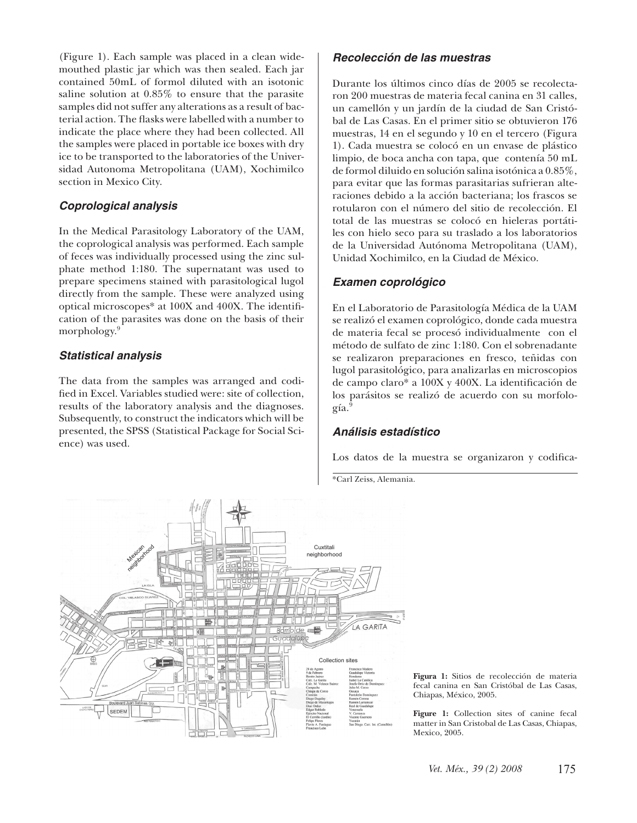(Figure 1). Each sample was placed in a clean widemouthed plastic jar which was then sealed. Each jar contained 50mL of formol diluted with an isotonic saline solution at 0.85% to ensure that the parasite samples did not suffer any alterations as a result of bacterial action. The flasks were labelled with a number to indicate the place where they had been collected. All the samples were placed in portable ice boxes with dry ice to be transported to the laboratories of the Universidad Autonoma Metropolitana (UAM), Xochimilco section in Mexico City.

## *Coprological analysis*

In the Medical Parasitology Laboratory of the UAM, the coprological analysis was performed. Each sample of feces was individually processed using the zinc sulphate method 1:180. The supernatant was used to prepare specimens stained with parasitological lugol directly from the sample. These were analyzed using optical microscopes\* at 100X and 400X. The identification of the parasites was done on the basis of their morphology.<sup>9</sup>

## *Statistical analysis*

The data from the samples was arranged and codified in Excel. Variables studied were: site of collection, results of the laboratory analysis and the diagnoses. Subsequently, to construct the indicators which will be presented, the SPSS (Statistical Package for Social Science) was used.

## *Recolección de las muestras*

Durante los últimos cinco días de 2005 se recolectaron 200 muestras de materia fecal canina en 31 calles, un camellón y un jardín de la ciudad de San Cristóbal de Las Casas. En el primer sitio se obtuvieron 176 muestras, 14 en el segundo y 10 en el tercero (Figura 1). Cada muestra se colocó en un envase de plástico limpio, de boca ancha con tapa, que contenía 50 mL de formol diluido en solución salina isotónica a 0.85%, para evitar que las formas parasitarias sufrieran alteraciones debido a la acción bacteriana; los frascos se rotularon con el número del sitio de recolección. El total de las muestras se colocó en hieleras portátiles con hielo seco para su traslado a los laboratorios de la Universidad Autónoma Metropolitana (UAM), Unidad Xochimilco, en la Ciudad de México.

## *Examen coprológico*

En el Laboratorio de Parasitología Médica de la UAM se realizó el examen coprológico, donde cada muestra de materia fecal se procesó individualmente con el método de sulfato de zinc 1:180. Con el sobrenadante se realizaron preparaciones en fresco, teñidas con lugol parasitológico, para analizarlas en microscopios de campo claro\* a 100X y 400X. La identificación de los parásitos se realizó de acuerdo con su morfología.<sup>9</sup>

## *Análisis estadístico*

Los datos de la muestra se organizaron y codifica-

\*Carl Zeiss, Alemania.



**Figura 1:** Sitios de recolección de materia fecal canina en San Cristóbal de Las Casas, Chiapas, México, 2005.

**Figure 1:** Collection sites of canine fecal matter in San Cristobal de Las Casas, Chiapas, Mexico, 2005.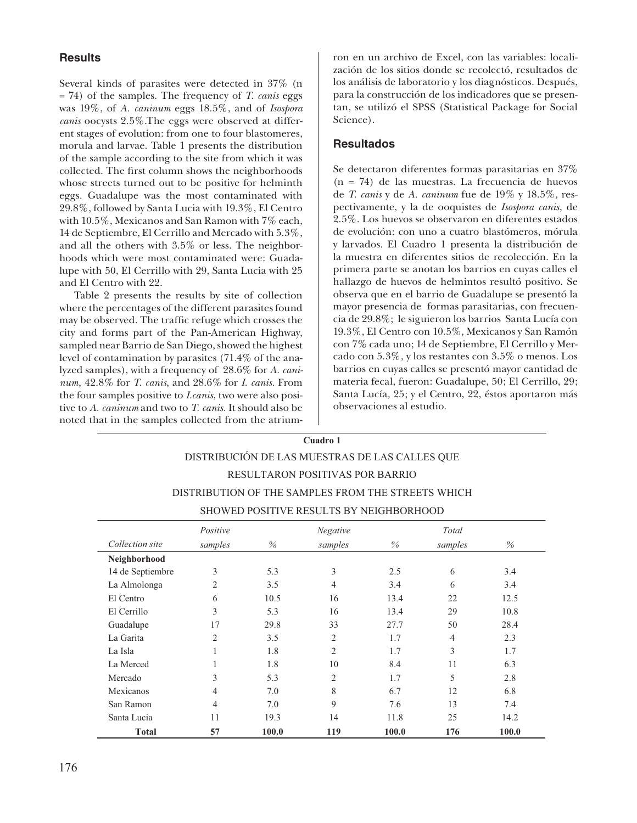#### **Results**

Several kinds of parasites were detected in 37% (n = 74) of the samples. The frequency of *T. canis* eggs was 19%, of *A. caninum* eggs 18.5%, and of *Isospora canis* oocysts 2.5%.The eggs were observed at different stages of evolution: from one to four blastomeres, morula and larvae. Table 1 presents the distribution of the sample according to the site from which it was collected. The first column shows the neighborhoods whose streets turned out to be positive for helminth eggs. Guadalupe was the most contaminated with 29.8%, followed by Santa Lucia with 19.3%, El Centro with 10.5%, Mexicanos and San Ramon with 7% each, 14 de Septiembre, El Cerrillo and Mercado with 5.3%, and all the others with 3.5% or less. The neighborhoods which were most contaminated were: Guadalupe with 50, El Cerrillo with 29, Santa Lucia with 25 and El Centro with 22.

Table 2 presents the results by site of collection where the percentages of the different parasites found may be observed. The traffic refuge which crosses the city and forms part of the Pan-American Highway, sampled near Barrio de San Diego, showed the highest level of contamination by parasites (71.4% of the analyzed samples), with a frequency of 28.6% for *A. caninum,* 42.8% for *T. canis*, and 28.6% for *I. canis.* From the four samples positive to *I.canis*, two were also positive to *A. caninum* and two to *T. canis.* It should also be noted that in the samples collected from the atriumron en un archivo de Excel, con las variables: localización de los sitios donde se recolectó, resultados de los análisis de laboratorio y los diagnósticos. Después, para la construcción de los indicadores que se presentan, se utilizó el SPSS (Statistical Package for Social Science).

#### **Resultados**

Se detectaron diferentes formas parasitarias en 37% (n = 74) de las muestras. La frecuencia de huevos de *T. canis* y de *A. caninum* fue de 19% y 18.5%, respectivamente, y la de ooquistes de *Isospora canis*, de 2.5%. Los huevos se observaron en diferentes estados de evolución: con uno a cuatro blastómeros, mórula y larvados. El Cuadro 1 presenta la distribución de la muestra en diferentes sitios de recolección. En la primera parte se anotan los barrios en cuyas calles el hallazgo de huevos de helmintos resultó positivo. Se observa que en el barrio de Guadalupe se presentó la mayor presencia de formas parasitarias, con frecuencia de 29.8%; le siguieron los barrios Santa Lucía con 19.3%, El Centro con 10.5%, Mexicanos y San Ramón con 7% cada uno; 14 de Septiembre, El Cerrillo y Mercado con 5.3%, y los restantes con 3.5% o menos. Los barrios en cuyas calles se presentó mayor cantidad de materia fecal, fueron: Guadalupe, 50; El Cerrillo, 29; Santa Lucía, 25; y el Centro, 22, éstos aportaron más observaciones al estudio.

## **Cuadro 1**  DISTRIBUCIÓN DE LAS MUESTRAS DE LAS CALLES QUE RESULTARON POSITIVAS POR BARRIO DISTRIBUTION OF THE SAMPLES FROM THE STREETS WHICH SHOWED POSITIVE RESULTS BY NEIGHBORHOOD

|                  | Positive       |       | <b>Negative</b> |       | Total          |       |
|------------------|----------------|-------|-----------------|-------|----------------|-------|
| Collection site  | samples        | $\%$  | samples         | $\%$  | samples        | $\%$  |
| Neighborhood     |                |       |                 |       |                |       |
| 14 de Septiembre | 3              | 5.3   | 3               | 2.5   | 6              | 3.4   |
| La Almolonga     | 2              | 3.5   | $\overline{4}$  | 3.4   | 6              | 3.4   |
| El Centro        | 6              | 10.5  | 16              | 13.4  | 22             | 12.5  |
| El Cerrillo      | 3              | 5.3   | 16              | 13.4  | 29             | 10.8  |
| Guadalupe        | 17             | 29.8  | 33              | 27.7  | 50             | 28.4  |
| La Garita        | $\overline{2}$ | 3.5   | $\overline{2}$  | 1.7   | $\overline{4}$ | 2.3   |
| La Isla          | ı.             | 1.8   | $\overline{c}$  | 1.7   | 3              | 1.7   |
| La Merced        | 1              | 1.8   | 10              | 8.4   | 11             | 6.3   |
| Mercado          | 3              | 5.3   | $\overline{2}$  | 1.7   | 5              | 2.8   |
| Mexicanos        | 4              | 7.0   | 8               | 6.7   | 12             | 6.8   |
| San Ramon        | $\overline{4}$ | 7.0   | 9               | 7.6   | 13             | 7.4   |
| Santa Lucia      | 11             | 19.3  | 14              | 11.8  | 25             | 14.2  |
| <b>Total</b>     | 57             | 100.0 | 119             | 100.0 | 176            | 100.0 |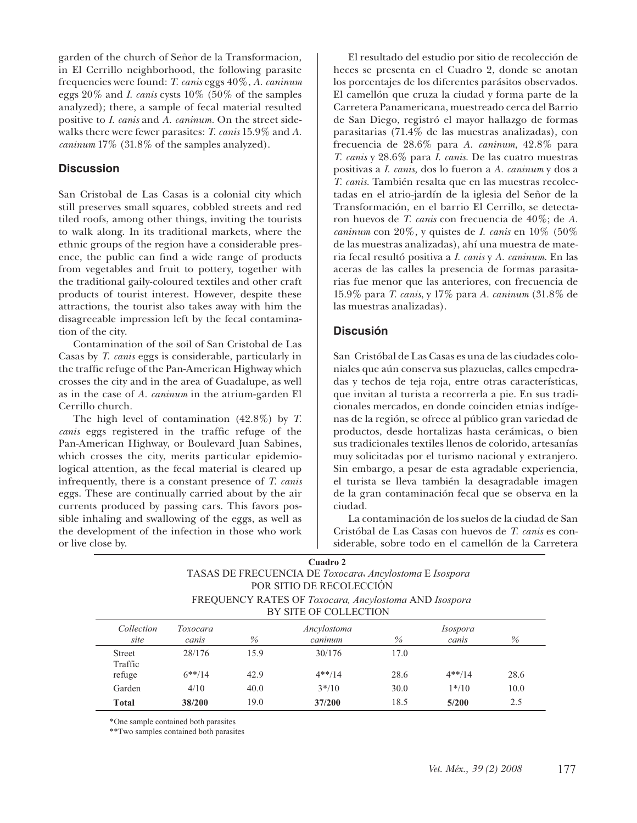garden of the church of Señor de la Transformacion, in El Cerrillo neighborhood, the following parasite frequencies were found: *T. canis* eggs 40%, *A. caninum* eggs 20% and *I. canis* cysts 10% (50% of the samples analyzed); there, a sample of fecal material resulted positive to *I. canis* and *A. caninum.* On the street sidewalks there were fewer parasites: *T. canis* 15.9% and *A. caninum* 17% (31.8% of the samples analyzed).

#### **Discussion**

San Cristobal de Las Casas is a colonial city which still preserves small squares, cobbled streets and red tiled roofs, among other things, inviting the tourists to walk along. In its traditional markets, where the ethnic groups of the region have a considerable presence, the public can find a wide range of products from vegetables and fruit to pottery, together with the traditional gaily-coloured textiles and other craft products of tourist interest. However, despite these attractions, the tourist also takes away with him the disagreeable impression left by the fecal contamination of the city.

Contamination of the soil of San Cristobal de Las Casas by *T. canis* eggs is considerable, particularly in the traffic refuge of the Pan-American Highway which crosses the city and in the area of Guadalupe, as well as in the case of *A. caninum* in the atrium-garden El Cerrillo church.

The high level of contamination (42.8%) by *T. canis* eggs registered in the traffic refuge of the Pan-American Highway, or Boulevard Juan Sabines, which crosses the city, merits particular epidemiological attention, as the fecal material is cleared up infrequently, there is a constant presence of *T. canis*  eggs. These are continually carried about by the air currents produced by passing cars. This favors possible inhaling and swallowing of the eggs, as well as the development of the infection in those who work or live close by.

El resultado del estudio por sitio de recolección de heces se presenta en el Cuadro 2, donde se anotan los porcentajes de los diferentes parásitos observados. El camellón que cruza la ciudad y forma parte de la Carretera Panamericana, muestreado cerca del Barrio de San Diego, registró el mayor hallazgo de formas parasitarias (71.4% de las muestras analizadas), con frecuencia de 28.6% para *A. caninum*, 42.8% para *T. canis* y 28.6% para *I. canis*. De las cuatro muestras positivas a *I. canis,* dos lo fueron a *A. caninum* y dos a *T. canis.* También resalta que en las muestras recolectadas en el atrio-jardín de la iglesia del Señor de la Transformación, en el barrio El Cerrillo, se detectaron huevos de *T. canis* con frecuencia de 40%; de *A. caninum* con 20%, y quistes de *I. canis* en 10% (50% de las muestras analizadas), ahí una muestra de materia fecal resultó positiva a *I. canis* y *A. caninum*. En las aceras de las calles la presencia de formas parasitarias fue menor que las anteriores, con frecuencia de 15.9% para *T. canis*, y 17% para *A. caninum* (31.8% de las muestras analizadas).

#### **Discusión**

San Cristóbal de Las Casas es una de las ciudades coloniales que aún conserva sus plazuelas, calles empedradas y techos de teja roja, entre otras características, que invitan al turista a recorrerla a pie. En sus tradicionales mercados, en donde coinciden etnias indígenas de la región, se ofrece al público gran variedad de productos, desde hortalizas hasta cerámicas, o bien sus tradicionales textiles llenos de colorido, artesanías muy solicitadas por el turismo nacional y extranjero. Sin embargo, a pesar de esta agradable experiencia, el turista se lleva también la desagradable imagen de la gran contaminación fecal que se observa en la ciudad.

La contaminación de los suelos de la ciudad de San Cristóbal de Las Casas con huevos de *T. canis* es considerable, sobre todo en el camellón de la Carretera

| Cuadro 2<br>TASAS DE FRECUENCIA DE Toxocara, Ancylostoma E Isospora<br>POR SITIO DE RECOLECCIÓN<br>FREQUENCY RATES OF Toxocara, Ancylostoma AND Isospora<br>BY SITE OF COLLECTION |                     |              |                        |              |                          |             |  |  |  |
|-----------------------------------------------------------------------------------------------------------------------------------------------------------------------------------|---------------------|--------------|------------------------|--------------|--------------------------|-------------|--|--|--|
| Collection<br>site                                                                                                                                                                | Toxocara<br>canis   | $\%$         | Ancylostoma<br>caninum | $\%$         | <i>Isospora</i><br>canis | $\%$        |  |  |  |
| <b>Street</b><br>Traffic<br>refuge                                                                                                                                                | 28/176<br>$6***/14$ | 15.9<br>42.9 | 30/176<br>$4**/14$     | 17.0<br>28.6 | $4**/14$                 | 28.6        |  |  |  |
| Garden<br><b>Total</b>                                                                                                                                                            | 4/10<br>38/200      | 40.0<br>19.0 | $3*/10$<br>37/200      | 30.0<br>18.5 | $1*/10$<br>5/200         | 10.0<br>2.5 |  |  |  |

\*One sample contained both parasites

\*\*Two samples contained both parasites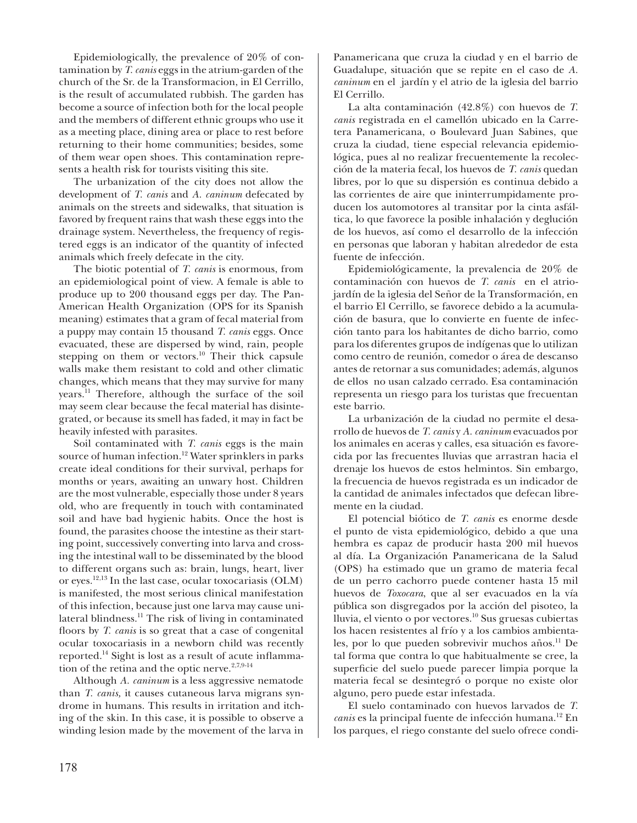Epidemiologically, the prevalence of 20% of contamination by *T. canis* eggs in the atrium-garden of the church of the Sr. de la Transformacion, in El Cerrillo, is the result of accumulated rubbish. The garden has become a source of infection both for the local people and the members of different ethnic groups who use it as a meeting place, dining area or place to rest before returning to their home communities; besides, some of them wear open shoes. This contamination represents a health risk for tourists visiting this site.

The urbanization of the city does not allow the development of *T. canis* and *A. caninum* defecated by animals on the streets and sidewalks, that situation is favored by frequent rains that wash these eggs into the drainage system. Nevertheless, the frequency of registered eggs is an indicator of the quantity of infected animals which freely defecate in the city.

The biotic potential of *T. canis* is enormous, from an epidemiological point of view. A female is able to produce up to 200 thousand eggs per day. The Pan-American Health Organization (OPS for its Spanish meaning) estimates that a gram of fecal material from a puppy may contain 15 thousand *T. canis* eggs. Once evacuated, these are dispersed by wind, rain, people stepping on them or vectors.<sup>10</sup> Their thick capsule walls make them resistant to cold and other climatic changes, which means that they may survive for many years.11 Therefore, although the surface of the soil may seem clear because the fecal material has disintegrated, or because its smell has faded, it may in fact be heavily infested with parasites.

Soil contaminated with *T. canis* eggs is the main source of human infection.<sup>12</sup> Water sprinklers in parks create ideal conditions for their survival, perhaps for months or years, awaiting an unwary host. Children are the most vulnerable, especially those under 8 years old, who are frequently in touch with contaminated soil and have bad hygienic habits. Once the host is found, the parasites choose the intestine as their starting point, successively converting into larva and crossing the intestinal wall to be disseminated by the blood to different organs such as: brain, lungs, heart, liver or eyes.12,13 In the last case, ocular toxocariasis (OLM) is manifested, the most serious clinical manifestation of this infection, because just one larva may cause unilateral blindness.<sup>11</sup> The risk of living in contaminated floors by *T. canis* is so great that a case of congenital ocular toxocariasis in a newborn child was recently reported.<sup>14</sup> Sight is lost as a result of acute inflammation of the retina and the optic nerve.<sup>2,7,9-14</sup>

Although *A. caninum* is a less aggressive nematode than *T. canis,* it causes cutaneous larva migrans syndrome in humans. This results in irritation and itching of the skin. In this case, it is possible to observe a winding lesion made by the movement of the larva in Panamericana que cruza la ciudad y en el barrio de Guadalupe, situación que se repite en el caso de *A. caninum* en el jardín y el atrio de la iglesia del barrio El Cerrillo.

La alta contaminación (42.8%) con huevos de *T. canis* registrada en el camellón ubicado en la Carretera Panamericana, o Boulevard Juan Sabines, que cruza la ciudad, tiene especial relevancia epidemiológica, pues al no realizar frecuentemente la recolección de la materia fecal, los huevos de *T. canis* quedan libres, por lo que su dispersión es continua debido a las corrientes de aire que ininterrumpidamente producen los automotores al transitar por la cinta asfáltica, lo que favorece la posible inhalación y deglución de los huevos, así como el desarrollo de la infección en personas que laboran y habitan alrededor de esta fuente de infección.

Epidemiológicamente, la prevalencia de 20% de contaminación con huevos de *T. canis* en el atriojardín de la iglesia del Señor de la Transformación, en el barrio El Cerrillo, se favorece debido a la acumulación de basura, que lo convierte en fuente de infección tanto para los habitantes de dicho barrio, como para los diferentes grupos de indígenas que lo utilizan como centro de reunión, comedor o área de descanso antes de retornar a sus comunidades; además, algunos de ellos no usan calzado cerrado. Esa contaminación representa un riesgo para los turistas que frecuentan este barrio.

La urbanización de la ciudad no permite el desarrollo de huevos de *T. canis* y *A. caninum* evacuados por los animales en aceras y calles, esa situación es favorecida por las frecuentes lluvias que arrastran hacia el drenaje los huevos de estos helmintos. Sin embargo, la frecuencia de huevos registrada es un indicador de la cantidad de animales infectados que defecan libremente en la ciudad.

El potencial biótico de *T. canis* es enorme desde el punto de vista epidemiológico, debido a que una hembra es capaz de producir hasta 200 mil huevos al día. La Organización Panamericana de la Salud (OPS) ha estimado que un gramo de materia fecal de un perro cachorro puede contener hasta 15 mil huevos de *Toxocara*, que al ser evacuados en la vía pública son disgregados por la acción del pisoteo, la lluvia, el viento o por vectores.10 Sus gruesas cubiertas los hacen resistentes al frío y a los cambios ambientales, por lo que pueden sobrevivir muchos años.<sup>11</sup> De tal forma que contra lo que habitualmente se cree, la superficie del suelo puede parecer limpia porque la materia fecal se desintegró o porque no existe olor alguno, pero puede estar infestada.

El suelo contaminado con huevos larvados de *T. canis* es la principal fuente de infección humana.12 En los parques, el riego constante del suelo ofrece condi-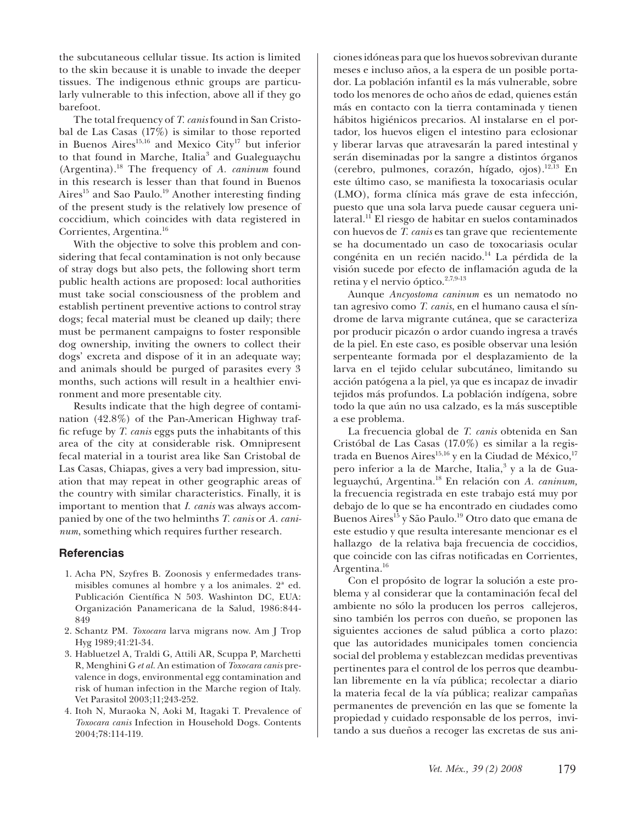the subcutaneous cellular tissue. Its action is limited to the skin because it is unable to invade the deeper tissues. The indigenous ethnic groups are particularly vulnerable to this infection, above all if they go barefoot.

The total frequency of *T. canis* found in San Cristobal de Las Casas (17%) is similar to those reported in Buenos Aires<sup>15,16</sup> and Mexico City<sup>17</sup> but inferior to that found in Marche, Italia<sup>3</sup> and Gualeguaychu (Argentina).18 The frequency of *A. caninum* found in this research is lesser than that found in Buenos Aires<sup>15</sup> and Sao Paulo.<sup>19</sup> Another interesting finding of the present study is the relatively low presence of coccidium, which coincides with data registered in Corrientes, Argentina.16

With the objective to solve this problem and considering that fecal contamination is not only because of stray dogs but also pets, the following short term public health actions are proposed: local authorities must take social consciousness of the problem and establish pertinent preventive actions to control stray dogs; fecal material must be cleaned up daily; there must be permanent campaigns to foster responsible dog ownership, inviting the owners to collect their dogs' excreta and dispose of it in an adequate way; and animals should be purged of parasites every 3 months, such actions will result in a healthier environment and more presentable city.

Results indicate that the high degree of contamination (42.8%) of the Pan-American Highway traffic refuge by *T. canis* eggs puts the inhabitants of this area of the city at considerable risk. Omnipresent fecal material in a tourist area like San Cristobal de Las Casas, Chiapas, gives a very bad impression, situation that may repeat in other geographic areas of the country with similar characteristics. Finally, it is important to mention that *I. canis* was always accompanied by one of the two helminths *T. canis* or *A. caninum*, something which requires further research.

#### **Referencias**

- 1. Acha PN, Szyfres B. Zoonosis y enfermedades transmisibles comunes al hombre y a los animales. 2ª ed. Publicación Científica N 503. Washinton DC, EUA: Organización Panamericana de la Salud, 1986:844- 849
- 2. Schantz PM. *Toxocara* larva migrans now. Am J Trop Hyg 1989;41:21-34.
- 3. Habluetzel A, Traldi G, Attili AR, Scuppa P, Marchetti R, Menghini G *et al.* An estimation of *Toxocara canis* prevalence in dogs, environmental egg contamination and risk of human infection in the Marche region of Italy. Vet Parasitol 2003;11;243-252.
- 4. Itoh N, Muraoka N, Aoki M, Itagaki T. Prevalence of *Toxocara canis* Infection in Household Dogs. Contents 2004;78:114-119.

ciones idóneas para que los huevos sobrevivan durante meses e incluso años, a la espera de un posible portador. La población infantil es la más vulnerable, sobre todo los menores de ocho años de edad, quienes están más en contacto con la tierra contaminada y tienen hábitos higiénicos precarios. Al instalarse en el portador, los huevos eligen el intestino para eclosionar y liberar larvas que atravesarán la pared intestinal y serán diseminadas por la sangre a distintos órganos (cerebro, pulmones, corazón, hígado, ojos).12,13 En este último caso, se manifiesta la toxocariasis ocular (LMO), forma clínica más grave de esta infección, puesto que una sola larva puede causar ceguera unilateral.11 El riesgo de habitar en suelos contaminados con huevos de *T. canis* es tan grave que recientemente se ha documentado un caso de toxocariasis ocular congénita en un recién nacido.<sup>14</sup> La pérdida de la visión sucede por efecto de inflamación aguda de la retina y el nervio óptico.<sup>2,7,9-13</sup>

Aunque *Ancyostoma caninum* es un nematodo no tan agresivo como *T. canis*, en el humano causa el síndrome de larva migrante cutánea, que se caracteriza por producir picazón o ardor cuando ingresa a través de la piel. En este caso, es posible observar una lesión serpenteante formada por el desplazamiento de la larva en el tejido celular subcutáneo, limitando su acción patógena a la piel, ya que es incapaz de invadir tejidos más profundos. La población indígena, sobre todo la que aún no usa calzado, es la más susceptible a ese problema.

La frecuencia global de *T. canis* obtenida en San Cristóbal de Las Casas (17.0%) es similar a la registrada en Buenos Aires<sup>15,16</sup> y en la Ciudad de México,<sup>17</sup> pero inferior a la de Marche, Italia, $^3$  y a la de Gualeguaychú, Argentina.18 En relación con *A. caninum,*  la frecuencia registrada en este trabajo está muy por debajo de lo que se ha encontrado en ciudades como Buenos Aires<sup>15</sup> y São Paulo.<sup>19</sup> Otro dato que emana de este estudio y que resulta interesante mencionar es el hallazgo de la relativa baja frecuencia de coccidios, que coincide con las cifras notificadas en Corrientes, Argentina.<sup>16</sup>

Con el propósito de lograr la solución a este problema y al considerar que la contaminación fecal del ambiente no sólo la producen los perros callejeros, sino también los perros con dueño, se proponen las siguientes acciones de salud pública a corto plazo: que las autoridades municipales tomen conciencia social del problema y establezcan medidas preventivas pertinentes para el control de los perros que deambulan libremente en la vía pública; recolectar a diario la materia fecal de la vía pública; realizar campañas permanentes de prevención en las que se fomente la propiedad y cuidado responsable de los perros, invitando a sus dueños a recoger las excretas de sus ani-